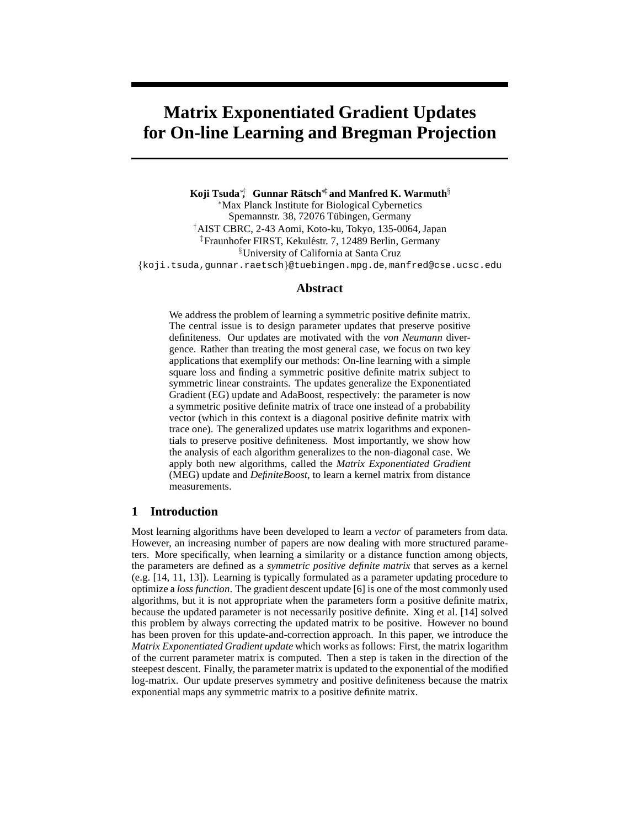# **Matrix Exponentiated Gradient Updates for On-line Learning and Bregman Projection**

**Koji Tsuda**∗† **, Gunnar Ratsch ¨** ∗‡ **and Manfred K. Warmuth**§ <sup>∗</sup>Max Planck Institute for Biological Cybernetics Spemannstr. 38, 72076 Tübingen, Germany †AIST CBRC, 2-43 Aomi, Koto-ku, Tokyo, 135-0064, Japan <sup>‡</sup>Fraunhofer FIRST, Kekuléstr. 7, 12489 Berlin, Germany §University of California at Santa Cruz {koji.tsuda,gunnar.raetsch}@tuebingen.mpg.de, manfred@cse.ucsc.edu

## **Abstract**

We address the problem of learning a symmetric positive definite matrix. The central issue is to design parameter updates that preserve positive definiteness. Our updates are motivated with the *von Neumann* divergence. Rather than treating the most general case, we focus on two key applications that exemplify our methods: On-line learning with a simple square loss and finding a symmetric positive definite matrix subject to symmetric linear constraints. The updates generalize the Exponentiated Gradient (EG) update and AdaBoost, respectively: the parameter is now a symmetric positive definite matrix of trace one instead of a probability vector (which in this context is a diagonal positive definite matrix with trace one). The generalized updates use matrix logarithms and exponentials to preserve positive definiteness. Most importantly, we show how the analysis of each algorithm generalizes to the non-diagonal case. We apply both new algorithms, called the *Matrix Exponentiated Gradient* (MEG) update and *DefiniteBoost*, to learn a kernel matrix from distance measurements.

## **1 Introduction**

Most learning algorithms have been developed to learn a *vector* of parameters from data. However, an increasing number of papers are now dealing with more structured parameters. More specifically, when learning a similarity or a distance function among objects, the parameters are defined as a *symmetric positive definite matrix* that serves as a kernel (e.g. [14, 11, 13]). Learning is typically formulated as a parameter updating procedure to optimize a *loss function*. The gradient descent update [6] is one of the most commonly used algorithms, but it is not appropriate when the parameters form a positive definite matrix, because the updated parameter is not necessarily positive definite. Xing et al. [14] solved this problem by always correcting the updated matrix to be positive. However no bound has been proven for this update-and-correction approach. In this paper, we introduce the *Matrix Exponentiated Gradient update* which works as follows: First, the matrix logarithm of the current parameter matrix is computed. Then a step is taken in the direction of the steepest descent. Finally, the parameter matrix is updated to the exponential of the modified log-matrix. Our update preserves symmetry and positive definiteness because the matrix exponential maps any symmetric matrix to a positive definite matrix.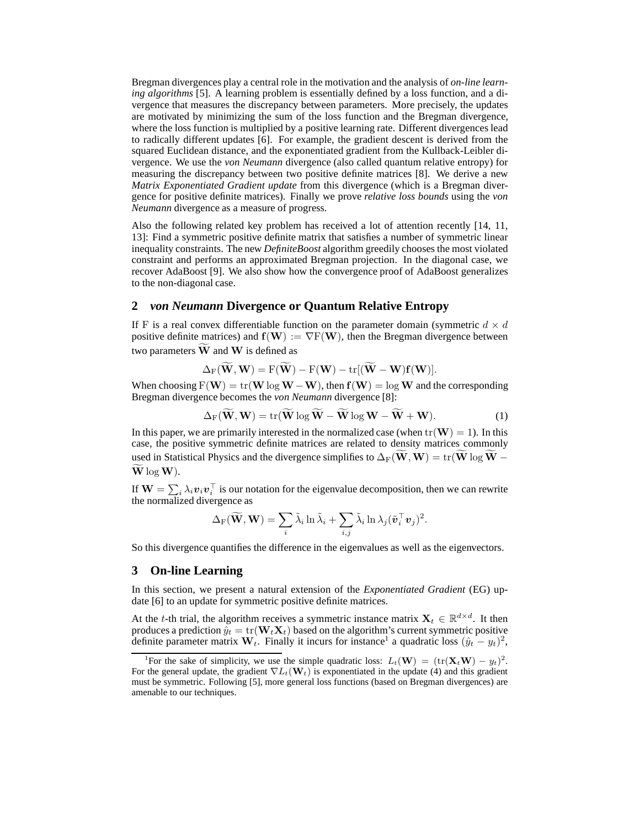Bregman divergences play a central role in the motivation and the analysis of *on-line learning algorithms* [5]. A learning problem is essentially defined by a loss function, and a divergence that measures the discrepancy between parameters. More precisely, the updates are motivated by minimizing the sum of the loss function and the Bregman divergence, where the loss function is multiplied by a positive learning rate. Different divergences lead to radically different updates [6]. For example, the gradient descent is derived from the squared Euclidean distance, and the exponentiated gradient from the Kullback-Leibler divergence. We use the *von Neumann* divergence (also called quantum relative entropy) for measuring the discrepancy between two positive definite matrices [8]. We derive a new *Matrix Exponentiated Gradient update* from this divergence (which is a Bregman divergence for positive definite matrices). Finally we prove *relative loss bounds* using the *von Neumann* divergence as a measure of progress.

Also the following related key problem has received a lot of attention recently [14, 11, 13]: Find a symmetric positive definite matrix that satisfies a number of symmetric linear inequality constraints. The new *DefiniteBoost* algorithm greedily chooses the most violated constraint and performs an approximated Bregman projection. In the diagonal case, we recover AdaBoost [9]. We also show how the convergence proof of AdaBoost generalizes to the non-diagonal case.

## **2** *von Neumann* **Divergence or Quantum Relative Entropy**

If F is a real convex differentiable function on the parameter domain (symmetric  $d \times d$ positive definite matrices) and  $f(\mathbf{W}) := \nabla F(\mathbf{W})$ , then the Bregman divergence between two parameters  $\tilde{W}$  and W is defined as

$$
\Delta_F(\widetilde{\mathbf{W}}, \mathbf{W}) = F(\widetilde{\mathbf{W}}) - F(\mathbf{W}) - \mathrm{tr}[(\widetilde{\mathbf{W}} - \mathbf{W})\mathbf{f}(\mathbf{W})].
$$

When choosing  $F(W) = tr(W \log W - W)$ , then  $f(W) = \log W$  and the corresponding Bregman divergence becomes the *von Neumann* divergence [8]:

$$
\Delta_{\mathcal{F}}(\widetilde{\mathbf{W}}, \mathbf{W}) = \text{tr}(\widetilde{\mathbf{W}} \log \widetilde{\mathbf{W}} - \widetilde{\mathbf{W}} \log \mathbf{W} - \widetilde{\mathbf{W}} + \mathbf{W}).
$$
 (1)

In this paper, we are primarily interested in the normalized case (when  $tr(\mathbf{W}) = 1$ ). In this case, the positive symmetric definite matrices are related to density matrices commonly used in Statistical Physics and the divergence simplifies to  $\Delta_F(\tilde{W},W) = \text{tr}(\tilde{W} \log \tilde{W} \widetilde{W}$  log W).

If  $\mathbf{W} = \sum_i \lambda_i \boldsymbol{v}_i \boldsymbol{v}_i^\top$  is our notation for the eigenvalue decomposition, then we can rewrite the normalized divergence as

$$
\Delta_{\text{F}}(\widetilde{\mathbf{W}},\mathbf{W}) = \sum_{i} \widetilde{\lambda}_{i} \ln \widetilde{\lambda}_{i} + \sum_{i,j} \widetilde{\lambda}_{i} \ln \lambda_{j} (\widetilde{\boldsymbol{v}}_{i}^{\top} \boldsymbol{v}_{j})^{2}.
$$

So this divergence quantifies the difference in the eigenvalues as well as the eigenvectors.

# **3 On-line Learning**

In this section, we present a natural extension of the *Exponentiated Gradient* (EG) update [6] to an update for symmetric positive definite matrices.

At the t-th trial, the algorithm receives a symmetric instance matrix  $X_t \in \mathbb{R}^{d \times d}$ . It then produces a prediction  $\hat{y}_t = \text{tr}(\mathbf{W}_t \mathbf{X}_t)$  based on the algorithm's current symmetric positive definite parameter matrix  $W_t$ . Finally it incurs for instance<sup>1</sup> a quadratic loss  $(\hat{y}_t - y_t)^2$ ,

<sup>&</sup>lt;sup>1</sup>For the sake of simplicity, we use the simple quadratic loss:  $L_t(\mathbf{W}) = (\text{tr}(\mathbf{X}_t \mathbf{W}) - y_t)^2$ . For the general update, the gradient  $\nabla L_t(\mathbf{W}_t)$  is exponentiated in the update (4) and this gradient must be symmetric. Following [5], more general loss functions (based on Bregman divergences) are amenable to our techniques.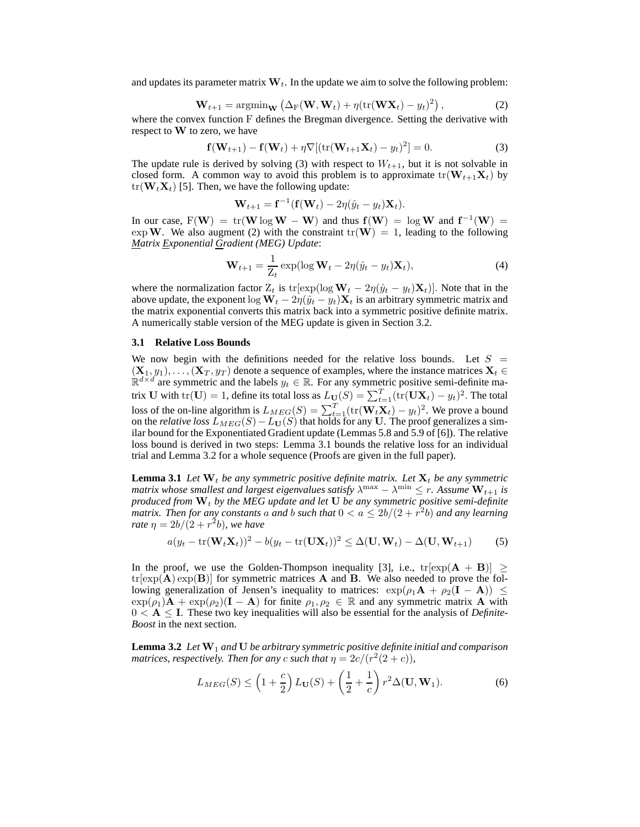and updates its parameter matrix  $W_t$ . In the update we aim to solve the following problem:

$$
\mathbf{W}_{t+1} = \operatorname{argmin}_{\mathbf{W}} \left( \Delta_{\text{F}}(\mathbf{W}, \mathbf{W}_t) + \eta (\text{tr}(\mathbf{W} \mathbf{X}_t) - y_t)^2 \right), \tag{2}
$$

where the convex function F defines the Bregman divergence. Setting the derivative with respect to W to zero, we have

$$
\mathbf{f}(\mathbf{W}_{t+1}) - \mathbf{f}(\mathbf{W}_t) + \eta \nabla [(\text{tr}(\mathbf{W}_{t+1} \mathbf{X}_t) - y_t)^2] = 0.
$$
 (3)

The update rule is derived by solving (3) with respect to  $W_{t+1}$ , but it is not solvable in closed form. A common way to avoid this problem is to approximate  $tr(\mathbf{W}_{t+1}\mathbf{X}_t)$  by  $tr(\mathbf{W}_t \mathbf{X}_t)$  [5]. Then, we have the following update:

$$
\mathbf{W}_{t+1} = \mathbf{f}^{-1}(\mathbf{f}(\mathbf{W}_t) - 2\eta(\hat{y}_t - y_t)\mathbf{X}_t).
$$

In our case,  $F(W) = tr(W \log W - W)$  and thus  $f(W) = \log W$  and  $f^{-1}(W) =$ exp W. We also augment (2) with the constraint  $tr(W) = 1$ , leading to the following *Matrix Exponential Gradient (MEG) Update*:

$$
\mathbf{W}_{t+1} = \frac{1}{Z_t} \exp(\log \mathbf{W}_t - 2\eta(\hat{y}_t - y_t)\mathbf{X}_t),
$$
\n(4)

where the normalization factor  $Z_t$  is tr[exp(log  $\mathbf{W}_t - 2\eta(\hat{y}_t - y_t)\mathbf{X}_t$ )]. Note that in the above update, the exponent log  $W_t - 2\eta(\hat{y}_t - y_t)X_t$  is an arbitrary symmetric matrix and the matrix exponential converts this matrix back into a symmetric positive definite matrix. A numerically stable version of the MEG update is given in Section 3.2.

#### **3.1 Relative Loss Bounds**

We now begin with the definitions needed for the relative loss bounds. Let  $S =$  $(\mathbf{X}_1, y_1), \ldots, (\mathbf{X}_T, y_T)$  denote a sequence of examples, where the instance matrices  $\mathbf{X}_t \in \mathbb{R}^{d \times d}$  are symmetric and the labels  $y_t \in \mathbb{R}$ . For any symmetric positive semi-definite matrix U with tr(U) = 1, define its total loss as  $L_{\mathbf{U}}(S) = \sum_{t=1}^{T} (\text{tr}(\mathbf{U}\mathbf{X}_t) - y_t)^2$ . The total loss of the on-line algorithm is  $L_{MEG}(S) = \sum_{t=1}^{T} (\text{tr}(\mathbf{W}_t \mathbf{X}_t) - y_t)^2$ . We prove a bound on the *relative loss*  $\widetilde{L}_{MEG}(S) - \widetilde{L}_{\mathbf{U}}(S)$  that holds for any U. The proof generalizes a similar bound for the Exponentiated Gradient update (Lemmas 5.8 and 5.9 of [6]). The relative loss bound is derived in two steps: Lemma 3.1 bounds the relative loss for an individual trial and Lemma 3.2 for a whole sequence (Proofs are given in the full paper).

**Lemma 3.1** Let  $W_t$  be any symmetric positive definite matrix. Let  $X_t$  be any symmetric *matrix whose smallest and largest eigenvalues satisfy*  $\lambda^{\max} - \lambda^{\min} \leq r$ . Assume  $\mathbf{W}_{t+1}$  is *produced from*  $W_t$  *by the MEG update and let* U *be any symmetric positive semi-definite matrix. Then for any constants* a and b such that  $0 < a \leq 2b/(2+r^2b)$  and any learning *rate*  $\eta = 2b/(2 + r^2b)$ , we have

$$
a(y_t - \text{tr}(\mathbf{W}_t \mathbf{X}_t))^2 - b(y_t - \text{tr}(\mathbf{U} \mathbf{X}_t))^2 \le \Delta(\mathbf{U}, \mathbf{W}_t) - \Delta(\mathbf{U}, \mathbf{W}_{t+1})
$$
 (5)

In the proof, we use the Golden-Thompson inequality [3], i.e.,  $tr[exp(A + B)] \ge$  $tr[exp(A) exp(B)]$  for symmetric matrices A and B. We also needed to prove the following generalization of Jensen's inequality to matrices:  $\exp(\rho_1 \mathbf{A} + \rho_2 (\mathbf{I} - \mathbf{A})) \leq$  $\exp(\rho_1)$ **A** +  $\exp(\rho_2)$ (**I** - **A**) for finite  $\rho_1, \rho_2 \in \mathbb{R}$  and any symmetric matrix **A** with  $0 < A \leq I$ . These two key inequalities will also be essential for the analysis of *Definite-Boost* in the next section.

**Lemma 3.2** *Let* W<sup>1</sup> *and* U *be arbitrary symmetric positive definite initial and comparison matrices, respectively. Then for any c such that*  $\eta = 2c/(r^2(2+c))$ *,* 

$$
L_{MEG}(S) \le \left(1 + \frac{c}{2}\right) L_{\mathbf{U}}(S) + \left(\frac{1}{2} + \frac{1}{c}\right) r^2 \Delta(\mathbf{U}, \mathbf{W}_1). \tag{6}
$$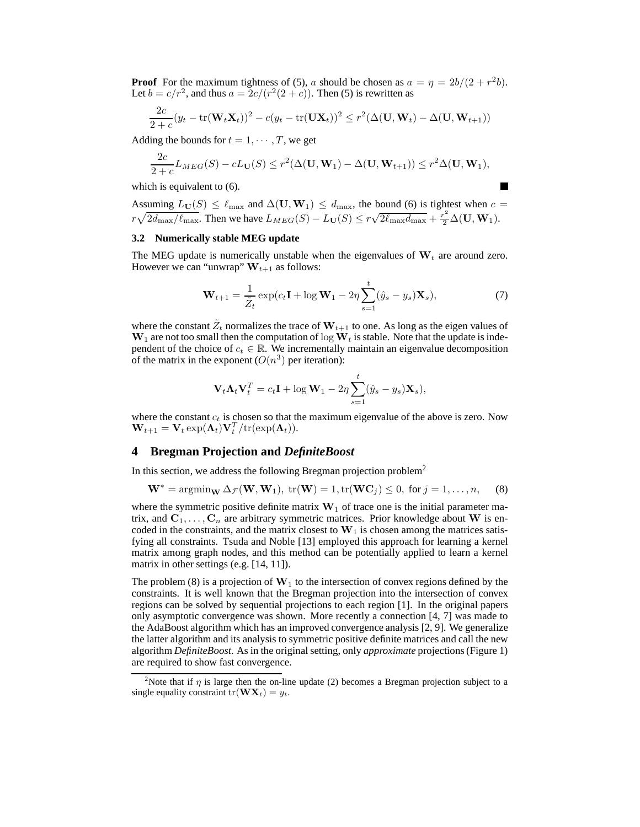**Proof** For the maximum tightness of (5), a should be chosen as  $a = \eta = \frac{2b}{(2 + r^2 b)}$ . Let  $b = c/r^2$ , and thus  $a = 2c/(r^2(2+c))$ . Then (5) is rewritten as

$$
\frac{2c}{2+c}(y_t - \text{tr}(\mathbf{W}_t \mathbf{X}_t))^2 - c(y_t - \text{tr}(\mathbf{U} \mathbf{X}_t))^2 \le r^2 (\Delta(\mathbf{U}, \mathbf{W}_t) - \Delta(\mathbf{U}, \mathbf{W}_{t+1}))
$$

Adding the bounds for  $t = 1, \dots, T$ , we get

$$
\frac{2c}{2+c}L_{MEG}(S) - cL_{\mathbf{U}}(S) \leq r^2(\Delta(\mathbf{U}, \mathbf{W}_1) - \Delta(\mathbf{U}, \mathbf{W}_{t+1})) \leq r^2 \Delta(\mathbf{U}, \mathbf{W}_1),
$$

which is equivalent to (6).

$$
\mathcal{L}_{\mathcal{L}}
$$

Assuming  $L_{\mathbf{U}}(S) \leq \ell_{\max}$  and  $\Delta(\mathbf{U}, \mathbf{W}_1) \leq d_{\max}$ , the bound (6) is tightest when  $c =$  $r\sqrt{2d_{\max}/\ell_{\max}}$ . Then we have  $L_{MEG}(S) - L_{\mathbf{U}}(S) \leq r\sqrt{2\ell_{\max}d_{\max}} + \frac{r^2}{2}\Delta(\mathbf{U}, \mathbf{W}_1)$ .

## **3.2 Numerically stable MEG update**

The MEG update is numerically unstable when the eigenvalues of  $W_t$  are around zero. However we can "unwrap"  $W_{t+1}$  as follows:

$$
\mathbf{W}_{t+1} = \frac{1}{\tilde{Z}_t} \exp(c_t \mathbf{I} + \log \mathbf{W}_1 - 2\eta \sum_{s=1}^t (\hat{y}_s - y_s) \mathbf{X}_s),\tag{7}
$$

where the constant  $\tilde{Z}_t$  normalizes the trace of  $\mathbf{W}_{t+1}$  to one. As long as the eigen values of  $W_1$  are not too small then the computation of log  $W_t$  is stable. Note that the update is independent of the choice of  $c_t \in \mathbb{R}$ . We incrementally maintain an eigenvalue decomposition of the matrix in the exponent  $(O(n^3))$  per iteration):

$$
\mathbf{V}_t \mathbf{\Lambda}_t \mathbf{V}_t^T = c_t \mathbf{I} + \log \mathbf{W}_1 - 2\eta \sum_{s=1}^t (\hat{y}_s - y_s) \mathbf{X}_s),
$$

where the constant  $c_t$  is chosen so that the maximum eigenvalue of the above is zero. Now  $\mathbf{W}_{t+1} = \mathbf{V}_{t} \exp(\mathbf{\Lambda}_{t}) \mathbf{V}_{t}^{T} / \mathrm{tr}(\exp(\mathbf{\Lambda}_{t})).$ 

# **4 Bregman Projection and** *DefiniteBoost*

In this section, we address the following Bregman projection problem<sup>2</sup>

$$
\mathbf{W}^* = \operatorname{argmin}_{\mathbf{W}} \Delta_{\mathcal{F}}(\mathbf{W}, \mathbf{W}_1), \text{ tr}(\mathbf{W}) = 1, \text{ tr}(\mathbf{W}\mathbf{C}_j) \le 0, \text{ for } j = 1, \dots, n,
$$
 (8)

where the symmetric positive definite matrix  $W_1$  of trace one is the initial parameter matrix, and  $C_1, \ldots, C_n$  are arbitrary symmetric matrices. Prior knowledge about W is encoded in the constraints, and the matrix closest to  $W_1$  is chosen among the matrices satisfying all constraints. Tsuda and Noble [13] employed this approach for learning a kernel matrix among graph nodes, and this method can be potentially applied to learn a kernel matrix in other settings (e.g. [14, 11]).

The problem (8) is a projection of  $W_1$  to the intersection of convex regions defined by the constraints. It is well known that the Bregman projection into the intersection of convex regions can be solved by sequential projections to each region [1]. In the original papers only asymptotic convergence was shown. More recently a connection [4, 7] was made to the AdaBoost algorithm which has an improved convergence analysis [2, 9]. We generalize the latter algorithm and its analysis to symmetric positive definite matrices and call the new algorithm *DefiniteBoost*. As in the original setting, only *approximate* projections (Figure 1) are required to show fast convergence.

<sup>&</sup>lt;sup>2</sup>Note that if  $\eta$  is large then the on-line update (2) becomes a Bregman projection subject to a single equality constraint tr( $\mathbf{W} \mathbf{X}_t$ ) =  $y_t$ .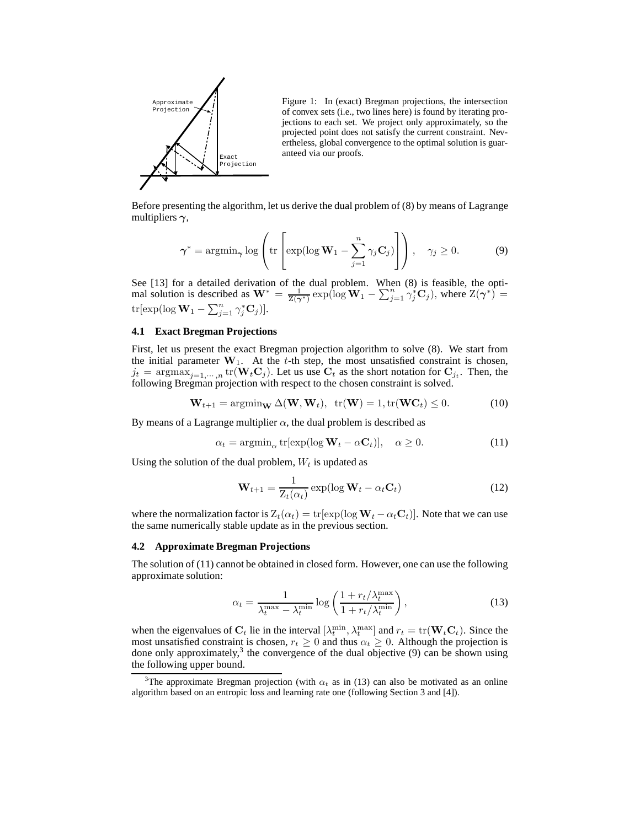

Figure 1: In (exact) Bregman projections, the intersection of convex sets (i.e., two lines here) is found by iterating projections to each set. We project only approximately, so the projected point does not satisfy the current constraint. Nevertheless, global convergence to the optimal solution is guaranteed via our proofs.

Before presenting the algorithm, let us derive the dual problem of (8) by means of Lagrange multipliers  $\gamma$ ,

$$
\boldsymbol{\gamma}^* = \operatorname{argmin}_{\boldsymbol{\gamma}} \log \left( \operatorname{tr} \left[ \exp(\log \mathbf{W}_1 - \sum_{j=1}^n \gamma_j \mathbf{C}_j) \right] \right), \quad \gamma_j \ge 0. \tag{9}
$$

See [13] for a detailed derivation of the dual problem. When (8) is feasible, the optimal solution is described as  $W^* = \frac{1}{Z(\gamma^*)} \exp(\log W_1 - \sum_{j=1}^n \gamma_j^* C_j)$ , where  $Z(\gamma^*) =$ tr[exp(log  $\mathbf{W}_1 - \sum_{j=1}^n \gamma_j^* \mathbf{C}_j$ )].

## **4.1 Exact Bregman Projections**

First, let us present the exact Bregman projection algorithm to solve (8). We start from the initial parameter  $W_1$ . At the t-th step, the most unsatisfied constraint is chosen,  $j_t = \text{argmax}_{j=1,\dots,n} \text{tr}(\mathbf{W}_t \mathbf{C}_j)$ . Let us use  $\mathbf{C}_t$  as the short notation for  $\mathbf{C}_{j_t}$ . Then, the following Bregman projection with respect to the chosen constraint is solved.

$$
\mathbf{W}_{t+1} = \operatorname{argmin}_{\mathbf{W}} \Delta(\mathbf{W}, \mathbf{W}_t), \quad \operatorname{tr}(\mathbf{W}) = 1, \operatorname{tr}(\mathbf{W}\mathbf{C}_t) \le 0. \tag{10}
$$

By means of a Lagrange multiplier  $\alpha$ , the dual problem is described as

$$
\alpha_t = \operatorname{argmin}_{\alpha} \operatorname{tr}[\exp(\log \mathbf{W}_t - \alpha \mathbf{C}_t)], \quad \alpha \ge 0. \tag{11}
$$

Using the solution of the dual problem,  $W_t$  is updated as

$$
\mathbf{W}_{t+1} = \frac{1}{\mathbf{Z}_t(\alpha_t)} \exp(\log \mathbf{W}_t - \alpha_t \mathbf{C}_t)
$$
(12)

where the normalization factor is  $Z_t(\alpha_t) = \text{tr}[\exp(\log \mathbf{W}_t - \alpha_t \mathbf{C}_t)].$  Note that we can use the same numerically stable update as in the previous section.

#### **4.2 Approximate Bregman Projections**

The solution of (11) cannot be obtained in closed form. However, one can use the following approximate solution:

$$
\alpha_t = \frac{1}{\lambda_t^{\max} - \lambda_t^{\min}} \log \left( \frac{1 + r_t / \lambda_t^{\max}}{1 + r_t / \lambda_t^{\min}} \right),\tag{13}
$$

when the eigenvalues of  $C_t$  lie in the interval  $[\lambda_t^{\min}, \lambda_t^{\max}]$  and  $r_t = \text{tr}(\mathbf{W}_t \mathbf{C}_t)$ . Since the most unsatisfied constraint is chosen,  $r_t \geq 0$  and thus  $\alpha_t \geq 0$ . Although the projection is done only approximately,<sup>3</sup> the convergence of the dual objective  $(9)$  can be shown using the following upper bound.

<sup>&</sup>lt;sup>3</sup>The approximate Bregman projection (with  $\alpha_t$  as in (13) can also be motivated as an online algorithm based on an entropic loss and learning rate one (following Section 3 and [4]).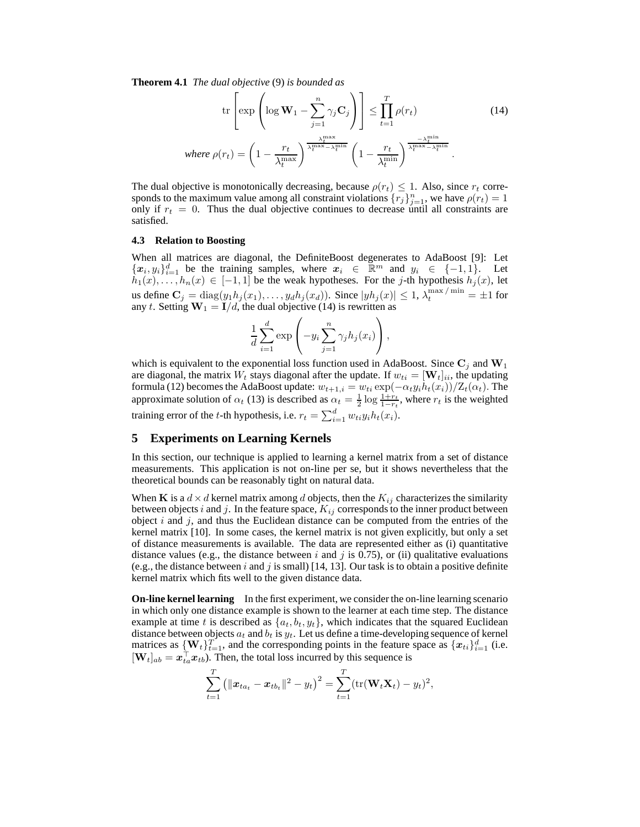**Theorem 4.1** *The dual objective* (9) *is bounded as*

$$
\operatorname{tr}\left[\exp\left(\log \mathbf{W}_{1} - \sum_{j=1}^{n} \gamma_{j} \mathbf{C}_{j}\right)\right] \leq \prod_{t=1}^{T} \rho(r_{t})
$$
(14)  
where  $\rho(r_{t}) = \left(1 - \frac{r_{t}}{\lambda_{t}^{\max}}\right)^{\frac{\lambda_{t}^{\max}}{\lambda_{t}^{\max} - \lambda_{t}^{\min}}} \left(1 - \frac{r_{t}}{\lambda_{t}^{\min}}\right)^{\frac{-\lambda_{t}^{\min}}{\lambda_{t}^{\max} - \lambda_{t}^{\min}}}$ .

The dual objective is monotonically decreasing, because  $\rho(r_t) \leq 1$ . Also, since  $r_t$  corresponds to the maximum value among all constraint violations  $\{r_j\}_{j=1}^n$ , we have  $\rho(r_t) = 1$ only if  $r_t = 0$ . Thus the dual objective continues to decrease until all constraints are satisfied.

### **4.3 Relation to Boosting**

When all matrices are diagonal, the DefiniteBoost degenerates to AdaBoost [9]: Let  ${x_i, y_i}_{i=1}^d$  be the training samples, where  $x_i \in \mathbb{R}^m$  and  $y_i \in \{-1, 1\}$ . Let  $h_1(x), \ldots, h_n(x) \in [-1, 1]$  be the weak hypotheses. For the j-th hypothesis  $h_j(x)$ , let us define  $C_j = \text{diag}(y_1 h_j(x_1), \dots, y_d h_j(x_d))$ . Since  $|yh_j(x)| \leq 1$ ,  $\lambda_t^{\max/\min} = \pm 1$  for any t. Setting  $W_1 = I/d$ , the dual objective (14) is rewritten as

$$
\frac{1}{d} \sum_{i=1}^d \exp\left(-y_i \sum_{j=1}^n \gamma_j h_j(x_i)\right),\,
$$

which is equivalent to the exponential loss function used in AdaBoost. Since  $\mathbf{C}_j$  and  $\mathbf{W}_1$ are diagonal, the matrix  $W_t$  stays diagonal after the update. If  $w_{ti} = [\mathbf{W}_t]_{ii}$ , the updating formula (12) becomes the AdaBoost update:  $w_{t+1,i} = w_{ti} \exp(-\alpha_t y_i h_t(x_i))/\mathbb{Z}_t(\alpha_t)$ . The approximate solution of  $\alpha_t$  (13) is described as  $\alpha_t = \frac{1}{2} \log \frac{1+r_t}{1-r_t}$ , where  $r_t$  is the weighted training error of the *t*-th hypothesis, i.e.  $r_t = \sum_{i=1}^d w_{ti} y_i h_t(x_i)$ .

## **5 Experiments on Learning Kernels**

In this section, our technique is applied to learning a kernel matrix from a set of distance measurements. This application is not on-line per se, but it shows nevertheless that the theoretical bounds can be reasonably tight on natural data.

When K is a  $d \times d$  kernel matrix among d objects, then the  $K_{ij}$  characterizes the similarity between objects i and j. In the feature space,  $K_{ij}$  corresponds to the inner product between object i and j, and thus the Euclidean distance can be computed from the entries of the kernel matrix [10]. In some cases, the kernel matrix is not given explicitly, but only a set of distance measurements is available. The data are represented either as (i) quantitative distance values (e.g., the distance between  $i$  and  $j$  is 0.75), or (ii) qualitative evaluations (e.g., the distance between i and j is small) [14, 13]. Our task is to obtain a positive definite kernel matrix which fits well to the given distance data.

**On-line kernel learning** In the first experiment, we consider the on-line learning scenario in which only one distance example is shown to the learner at each time step. The distance example at time t is described as  $\{a_t, b_t, y_t\}$ , which indicates that the squared Euclidean distance between objects  $a_t$  and  $b_t$  is  $y_t$ . Let us define a time-developing sequence of kernel matrices as  $\{W_t\}_{t=1}^T$ , and the corresponding points in the feature space as  $\{x_{ti}\}_{i=1}^d$  (i.e.  $[\mathbf{W}_t]_{ab} = \mathbf{x}_{ta}^{\dagger} \mathbf{x}_{tb}$ . Then, the total loss incurred by this sequence is

$$
\sum_{t=1}^T (\|\boldsymbol{x}_{t a_t} - \boldsymbol{x}_{t b_t}\|^2 - y_t)^2 = \sum_{t=1}^T (\text{tr}(\mathbf{W}_t \mathbf{X}_t) - y_t)^2,
$$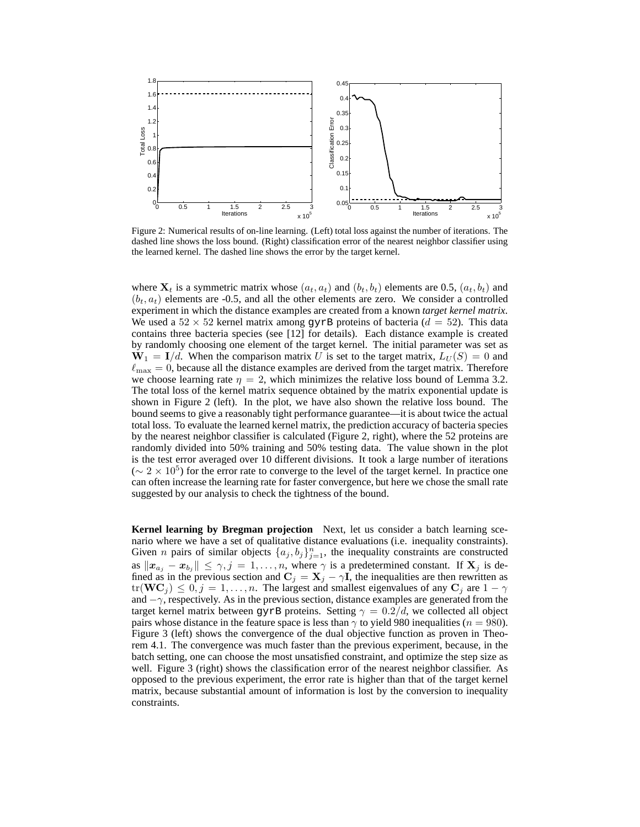

Figure 2: Numerical results of on-line learning. (Left) total loss against the number of iterations. The dashed line shows the loss bound. (Right) classification error of the nearest neighbor classifier using the learned kernel. The dashed line shows the error by the target kernel.

where  $X_t$  is a symmetric matrix whose  $(a_t, a_t)$  and  $(b_t, b_t)$  elements are 0.5,  $(a_t, b_t)$  and  $(b_t, a_t)$  elements are -0.5, and all the other elements are zero. We consider a controlled experiment in which the distance examples are created from a known *target kernel matrix*. We used a  $52 \times 52$  kernel matrix among gyrB proteins of bacteria ( $d = 52$ ). This data contains three bacteria species (see [12] for details). Each distance example is created by randomly choosing one element of the target kernel. The initial parameter was set as  $W_1 = I/d$ . When the comparison matrix U is set to the target matrix,  $L_U(S) = 0$  and  $\ell_{\text{max}} = 0$ , because all the distance examples are derived from the target matrix. Therefore we choose learning rate  $\eta = 2$ , which minimizes the relative loss bound of Lemma 3.2. The total loss of the kernel matrix sequence obtained by the matrix exponential update is shown in Figure 2 (left). In the plot, we have also shown the relative loss bound. The bound seems to give a reasonably tight performance guarantee—it is about twice the actual total loss. To evaluate the learned kernel matrix, the prediction accuracy of bacteria species by the nearest neighbor classifier is calculated (Figure 2, right), where the 52 proteins are randomly divided into 50% training and 50% testing data. The value shown in the plot is the test error averaged over 10 different divisions. It took a large number of iterations  $({\sim 2 \times 10^5})$  for the error rate to converge to the level of the target kernel. In practice one can often increase the learning rate for faster convergence, but here we chose the small rate suggested by our analysis to check the tightness of the bound.

**Kernel learning by Bregman projection** Next, let us consider a batch learning scenario where we have a set of qualitative distance evaluations (i.e. inequality constraints). Given *n* pairs of similar objects  $\{a_j, b_j\}_{j=1}^n$ , the inequality constraints are constructed as  $\|\mathbf{x}_{a_j} - \mathbf{x}_{b_j}\| \leq \gamma, j = 1, \ldots, n$ , where  $\gamma$  is a predetermined constant. If  $\mathbf{X}_j$  is defined as in the previous section and  $\mathbf{C}_j = \mathbf{X}_j - \gamma \mathbf{I}$ , the inequalities are then rewritten as  $tr(\mathbf{WC}_j) \leq 0, j = 1, \ldots, n$ . The largest and smallest eigenvalues of any  $\mathbf{C}_j$  are  $1 - \gamma$ and  $-\gamma$ , respectively. As in the previous section, distance examples are generated from the target kernel matrix between gyrB proteins. Setting  $\gamma = 0.2/d$ , we collected all object pairs whose distance in the feature space is less than  $\gamma$  to yield 980 inequalities ( $n = 980$ ). Figure 3 (left) shows the convergence of the dual objective function as proven in Theorem 4.1. The convergence was much faster than the previous experiment, because, in the batch setting, one can choose the most unsatisfied constraint, and optimize the step size as well. Figure 3 (right) shows the classification error of the nearest neighbor classifier. As opposed to the previous experiment, the error rate is higher than that of the target kernel matrix, because substantial amount of information is lost by the conversion to inequality constraints.